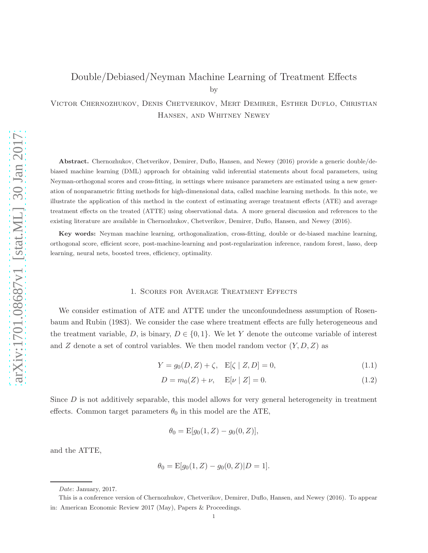# Double/Debiased/Neyman Machine Learning of Treatment Effects by

Victor Chernozhukov, Denis Chetverikov, Mert Demirer, Esther Duflo, Christian Hansen, and Whitney Newey

Abstract. Chernozhukov, Chetverikov, Demirer, Duflo, Hansen, and Newey (2016) provide a generic double/debiased machine learning (DML) approach for obtaining valid inferential statements about focal parameters, using Neyman-orthogonal scores and cross-fitting, in settings where nuisance parameters are estimated using a new generation of nonparametric fitting methods for high-dimensional data, called machine learning methods. In this note, we illustrate the application of this method in the context of estimating average treatment effects (ATE) and average treatment effects on the treated (ATTE) using observational data. A more general discussion and references to the existing literature are available in Chernozhukov, Chetverikov, Demirer, Duflo, Hansen, and Newey (2016).

Key words: Neyman machine learning, orthogonalization, cross-fitting, double or de-biased machine learning, orthogonal score, efficient score, post-machine-learning and post-regularization inference, random forest, lasso, deep learning, neural nets, boosted trees, efficiency, optimality.

## 1. Scores for Average Treatment Effects

We consider estimation of ATE and ATTE under the unconfoundedness assumption of Rosenbaum and Rubin (1983). We consider the case where treatment effects are fully heterogeneous and the treatment variable, D, is binary,  $D \in \{0, 1\}$ . We let Y denote the outcome variable of interest and Z denote a set of control variables. We then model random vector  $(Y, D, Z)$  as

<span id="page-0-0"></span>
$$
Y = g_0(D, Z) + \zeta, \quad E[\zeta \mid Z, D] = 0,\tag{1.1}
$$

$$
D = m_0(Z) + \nu, \quad E[\nu | Z] = 0.
$$
 (1.2)

Since  $D$  is not additively separable, this model allows for very general heterogeneity in treatment effects. Common target parameters  $\theta_0$  in this model are the ATE,

$$
\theta_0 = \mathbb{E}[g_0(1,Z) - g_0(0,Z)],
$$

and the ATTE,

$$
\theta_0 = \mathbb{E}[g_0(1,Z) - g_0(0,Z)|D = 1].
$$

*Date*: January, 2017.

This is a conference version of Chernozhukov, Chetverikov, Demirer, Duflo, Hansen, and Newey (2016). To appear in: American Economic Review 2017 (May), Papers & Proceedings.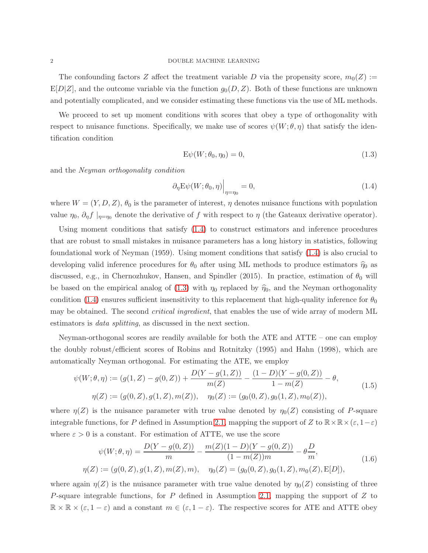The confounding factors Z affect the treatment variable D via the propensity score,  $m_0(Z) :=$  $E[D|Z]$ , and the outcome variable via the function  $g_0(D, Z)$ . Both of these functions are unknown and potentially complicated, and we consider estimating these functions via the use of ML methods.

We proceed to set up moment conditions with scores that obey a type of orthogonality with respect to nuisance functions. Specifically, we make use of scores  $\psi(W; \theta, \eta)$  that satisfy the identification condition

<span id="page-1-1"></span><span id="page-1-0"></span>
$$
\mathcal{E}\psi(W;\theta_0,\eta_0) = 0,\tag{1.3}
$$

and the Neyman orthogonality condition

<span id="page-1-2"></span>
$$
\left. \partial_{\eta} \mathcal{E} \psi(W; \theta_0, \eta) \right|_{\eta = \eta_0} = 0, \tag{1.4}
$$

where  $W = (Y, D, Z)$ ,  $\theta_0$  is the parameter of interest,  $\eta$  denotes nuisance functions with population value  $\eta_0$ ,  $\partial_{\eta} f|_{\eta=\eta_0}$  denote the derivative of f with respect to  $\eta$  (the Gateaux derivative operator).

Using moment conditions that satisfy [\(1.4\)](#page-1-0) to construct estimators and inference procedures that are robust to small mistakes in nuisance parameters has a long history in statistics, following foundational work of Neyman (1959). Using moment conditions that satisfy [\(1.4\)](#page-1-0) is also crucial to developing valid inference procedures for  $\theta_0$  after using ML methods to produce estimators  $\hat{\eta}_0$  as discussed, e.g., in Chernozhukov, Hansen, and Spindler (2015). In practice, estimation of  $\theta_0$  will be based on the empirical analog of [\(1.3\)](#page-1-1) with  $\eta_0$  replaced by  $\hat{\eta}_0$ , and the Neyman orthogonality condition [\(1.4\)](#page-1-0) ensures sufficient insensitivity to this replacement that high-quality inference for  $\theta_0$ may be obtained. The second *critical ingredient*, that enables the use of wide array of modern ML estimators is data splitting, as discussed in the next section.

Neyman-orthogonal scores are readily available for both the ATE and ATTE – one can employ the doubly robust/efficient scores of Robins and Rotnitzky (1995) and Hahn (1998), which are automatically Neyman orthogonal. For estimating the ATE, we employ

$$
\psi(W; \theta, \eta) := (g(1, Z) - g(0, Z)) + \frac{D(Y - g(1, Z))}{m(Z)} - \frac{(1 - D)(Y - g(0, Z))}{1 - m(Z)} - \theta,
$$
  
\n
$$
\eta(Z) := (g(0, Z), g(1, Z), m(Z)), \quad \eta_0(Z) := (g_0(0, Z), g_0(1, Z), m_0(Z)),
$$
\n(1.5)

where  $\eta(Z)$  is the nuisance parameter with true value denoted by  $\eta_0(Z)$  consisting of P-square integrable functions, for P defined in Assumption [2.1,](#page-3-0) mapping the support of Z to  $\mathbb{R}\times\mathbb{R}\times(\varepsilon, 1-\varepsilon)$ where  $\varepsilon > 0$  is a constant. For estimation of ATTE, we use the score

<span id="page-1-3"></span>
$$
\psi(W; \theta, \eta) = \frac{D(Y - g(0, Z))}{m} - \frac{m(Z)(1 - D)(Y - g(0, Z))}{(1 - m(Z))m} - \theta \frac{D}{m},
$$
  
\n
$$
\eta(Z) := (g(0, Z), g(1, Z), m(Z), m), \quad \eta_0(Z) = (g_0(0, Z), g_0(1, Z), m_0(Z), E[D]),
$$
\n(1.6)

where again  $\eta(Z)$  is the nuisance parameter with true value denoted by  $\eta_0(Z)$  consisting of three P-square integrable functions, for P defined in Assumption [2.1,](#page-3-0) mapping the support of  $Z$  to  $\mathbb{R} \times \mathbb{R} \times (\varepsilon, 1-\varepsilon)$  and a constant  $m \in (\varepsilon, 1-\varepsilon)$ . The respective scores for ATE and ATTE obey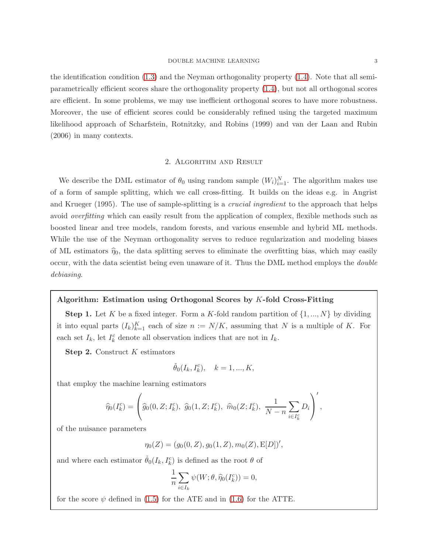the identification condition [\(1.3\)](#page-1-1) and the Neyman orthogonality property [\(1.4\)](#page-1-0). Note that all semiparametrically efficient scores share the orthogonality property [\(1.4\)](#page-1-0), but not all orthogonal scores are efficient. In some problems, we may use inefficient orthogonal scores to have more robustness. Moreover, the use of efficient scores could be considerably refined using the targeted maximum likelihood approach of Scharfstein, Rotnitzky, and Robins (1999) and van der Laan and Rubin (2006) in many contexts.

#### 2. Algorithm and Result

<span id="page-2-0"></span>We describe the DML estimator of  $\theta_0$  using random sample  $(W_i)_{i=1}^N$ . The algorithm makes use of a form of sample splitting, which we call cross-fitting. It builds on the ideas e.g. in Angrist and Krueger (1995). The use of sample-splitting is a *crucial ingredient* to the approach that helps avoid overfitting which can easily result from the application of complex, flexible methods such as boosted linear and tree models, random forests, and various ensemble and hybrid ML methods. While the use of the Neyman orthogonality serves to reduce regularization and modeling biases of ML estimators  $\hat{\eta}_0$ , the data splitting serves to eliminate the overfitting bias, which may easily occur, with the data scientist being even unaware of it. Thus the DML method employs the double debiasing.

#### Algorithm: Estimation using Orthogonal Scores by K-fold Cross-Fitting

**Step 1.** Let K be a fixed integer. Form a K-fold random partition of  $\{1, ..., N\}$  by dividing it into equal parts  $(I_k)_{k=1}^K$  each of size  $n := N/K$ , assuming that N is a multiple of K. For each set  $I_k$ , let  $I_k^c$  denote all observation indices that are not in  $I_k$ .

**Step 2.** Construct  $K$  estimators

$$
\check{\theta}_0(I_k, I_k^c), \quad k = 1, ..., K,
$$

that employ the machine learning estimators

$$
\widehat{\eta}_0(I_k^c) = \left(\widehat{g}_0(0, Z; I_k^c), \ \widehat{g}_0(1, Z; I_k^c), \ \widehat{m}_0(Z; I_k^c), \ \frac{1}{N - n} \sum_{i \in I_k^c} D_i\right)',
$$

of the nuisance parameters

 $\eta_0(Z) = (g_0(0, Z), g_0(1, Z), m_0(Z), E[D])',$ 

and where each estimator  $\check{\theta}_0(I_k, I_k^c)$  is defined as the root  $\theta$  of

$$
\frac{1}{n}\sum_{i\in I_k}\psi(W;\theta,\widehat{\eta}_0(I_k^c))=0,
$$

for the score  $\psi$  defined in [\(1.5\)](#page-1-2) for the ATE and in [\(1.6\)](#page-1-3) for the ATTE.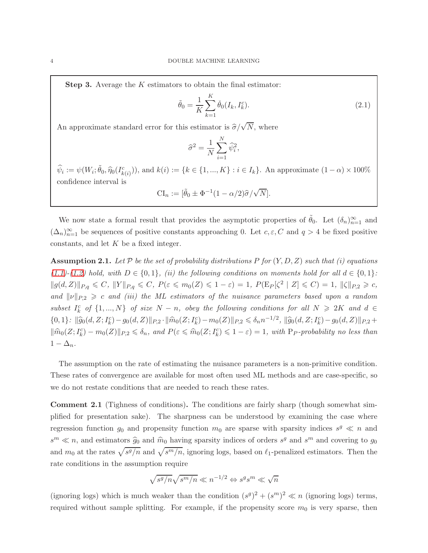**Step 3.** Average the  $K$  estimators to obtain the final estimator:

$$
\tilde{\theta}_0 = \frac{1}{K} \sum_{k=1}^{K} \check{\theta}_0(I_k, I_k^c).
$$
\n(2.1)

An approximate standard error for this estimator is  $\hat{\sigma}/\sqrt{N}$ , where

$$
\widehat{\sigma}^2 = \frac{1}{N} \sum_{i=1}^N \widehat{\psi}_i^2,
$$

 $\hat{\psi}_i := \psi(W_i; \tilde{\theta}_0, \hat{\eta}_0(I_{k(i)}^c)),$  and  $k(i) := \{k \in \{1, ..., K\} : i \in I_k\}.$  An approximate  $(1 - \alpha) \times 100\%$ confidence interval is

$$
\mathrm{CI}_n := [\tilde{\theta}_0 \pm \Phi^{-1}(1 - \alpha/2)\hat{\sigma}/\sqrt{N}].
$$

We now state a formal result that provides the asymptotic properties of  $\tilde{\theta}_0$ . Let  $(\delta_n)_{n=1}^{\infty}$  and  $(\Delta_n)_{n=1}^{\infty}$  be sequences of positive constants approaching 0. Let  $c, \varepsilon, C$  and  $q > 4$  be fixed positive constants, and let  $K$  be a fixed integer.

<span id="page-3-0"></span>**Assumption 2.1.** Let  $\mathcal P$  be the set of probability distributions P for  $(Y, D, Z)$  such that (i) equations [\(1.1\)](#page-0-0)-[\(1.2\)](#page-0-0) hold, with  $D \in \{0,1\}$ , (ii) the following conditions on moments hold for all  $d \in \{0,1\}$ :  $||g(d, Z)||_{P,q} \leq C, ||Y||_{P,q} \leq C, P(\varepsilon \leq m_0(Z) \leq 1-\varepsilon) = 1, P(E_P[\zeta^2 | Z] \leq C) = 1, ||\zeta||_{P,2} \geq c,$ and  $\|\nu\|_{P,2} \geq c$  and (iii) the ML estimators of the nuisance parameters based upon a random subset  $I_k^c$  of  $\{1, ..., N\}$  of size  $N - n$ , obey the following conditions for all  $N \geq 2K$  and  $d \in$  $\{0,1\}$ :  $\|\widehat{g}_0(d, Z; I_k^c) - g_0(d, Z)\|_{P,2} \cdot \|\widehat{m}_0(Z; I_k^c) - m_0(Z)\|_{P,2} \leq \delta_n n^{-1/2}, \|\widehat{g}_0(d, Z; I_k^c) - g_0(d, Z)\|_{P,2} +$  $\|\widehat{m}_0(Z; I_k^c) - m_0(Z)\|_{P,2} \leq \delta_n$ , and  $P(\varepsilon \leq \widehat{m}_0(Z; I_k^c) \leq 1 - \varepsilon) = 1$ , with P<sub>P</sub>-probability no less than  $1 - \Delta_n$ .

The assumption on the rate of estimating the nuisance parameters is a non-primitive condition. These rates of convergence are available for most often used ML methods and are case-specific, so we do not restate conditions that are needed to reach these rates.

Comment 2.1 (Tighness of conditions). The conditions are fairly sharp (though somewhat simplified for presentation sake). The sharpness can be understood by examining the case where regression function  $g_0$  and propensity function  $m_0$  are sparse with sparsity indices  $s^g \ll n$  and  $s^m \ll n$ , and estimators  $\hat{g}_0$  and  $\hat{m}_0$  having sparsity indices of orders  $s^g$  and  $s^m$  and covering to  $g_0$ and  $m_0$  at the rates  $\sqrt{s^g/n}$  and  $\sqrt{s^m/n}$ , ignoring logs, based on  $\ell_1$ -penalized estimators. Then the rate conditions in the assumption require

$$
\sqrt{s^g/n}\sqrt{s^m/n}\ll n^{-1/2} \Leftrightarrow s^gs^m\ll \sqrt{n}
$$

(ignoring logs) which is much weaker than the condition  $(s^g)^2 + (s^m)^2 \ll n$  (ignoring logs) terms, required without sample splitting. For example, if the propensity score  $m_0$  is very sparse, then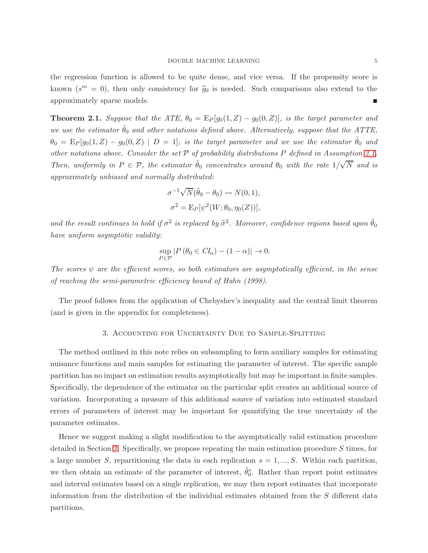the regression function is allowed to be quite dense, and vice versa. If the propensity score is known  $(s^m = 0)$ , then only consistency for  $\hat{g}_0$  is needed. Such comparisons also extend to the approximately sparse models.

**Theorem 2.1.** Suppose that the ATE,  $\theta_0 = E_P[g_0(1,Z) - g_0(0,Z)]$ , is the target parameter and we use the estimator  $\theta_0$  and other notations defined above. Alternatively, suppose that the ATTE,  $\theta_0 = \mathbb{E}_P[g_0(1,Z) - g_0(0,Z)]$  |  $D = 1$ ], is the target parameter and we use the estimator  $\tilde{\theta}_0$  and other notations above. Consider the set  $P$  of probability distributions  $P$  defined in Assumption [2.1.](#page-3-0) Then, uniformly in  $P \in \mathcal{P}$ , the estimator  $\tilde{\theta}_0$  concentrates around  $\theta_0$  with the rate  $1/\sqrt{N}$  and is approximately unbiased and normally distributed:

$$
\sigma^{-1}\sqrt{N}(\tilde{\theta}_0 - \theta_0) \rightsquigarrow N(0, 1),
$$
  

$$
\sigma^2 = \mathbb{E}_P[\psi^2(W; \theta_0, \eta_0(Z))],
$$

and the result continues to hold if  $\sigma^2$  is replaced by  $\hat{\sigma}^2$ . Moreover, confidence regions based upon  $\tilde{\theta}_0$ have uniform asymptotic validity:

$$
\sup_{P \in \mathcal{P}} |P(\theta_0 \in CI_n) - (1 - \alpha)| \to 0.
$$

The scores  $\psi$  are the efficient scores, so both estimators are asymptotically efficient, in the sense of reaching the semi-parametric efficiency bound of Hahn (1998).

The proof follows from the application of Chebyshev's inequality and the central limit theorem (and is given in the appendix for completeness).

## 3. Accounting for Uncertainty Due to Sample-Splitting

The method outlined in this note relies on subsampling to form auxiliary samples for estimating nuisance functions and main samples for estimating the parameter of interest. The specific sample partition has no impact on estimation results asymptotically but may be important in finite samples. Specifically, the dependence of the estimator on the particular split creates an additional source of variation. Incorporating a measure of this additional source of variation into estimated standard errors of parameters of interest may be important for quantifying the true uncertainty of the parameter estimates.

Hence we suggest making a slight modification to the asymptotically valid estimation procedure detailed in Section [2.](#page-2-0) Specifically, we propose repeating the main estimation procedure S times, for a large number S, repartitioning the data in each replication  $s = 1, ..., S$ . Within each partition, we then obtain an estimate of the parameter of interest,  $\tilde{\theta}_0^s$ . Rather than report point estimates and interval estimates based on a single replication, we may then report estimates that incorporate information from the distribution of the individual estimates obtained from the S different data partitions.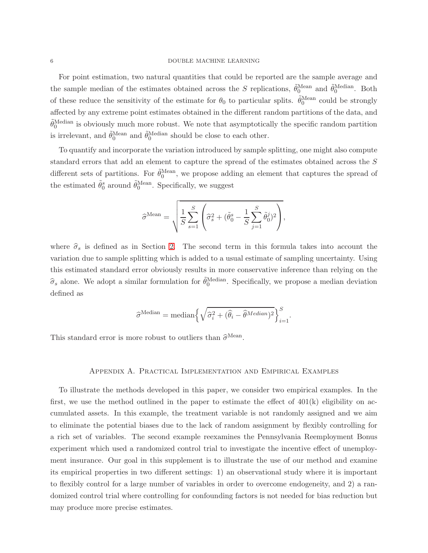For point estimation, two natural quantities that could be reported are the sample average and the sample median of the estimates obtained across the S replications,  $\tilde{\theta}_0^{\text{Mean}}$  and  $\tilde{\theta}_0^{\text{Median}}$ . Both of these reduce the sensitivity of the estimate for  $\theta_0$  to particular splits.  $\tilde{\theta}_0^{\text{Mean}}$  could be strongly affected by any extreme point estimates obtained in the different random partitions of the data, and  $\tilde{\theta}_0^{\text{Median}}$  is obviously much more robust. We note that asymptotically the specific random partition is irrelevant, and  $\tilde{\theta}_0^{\text{Mean}}$  and  $\tilde{\theta}_0^{\text{Median}}$  should be close to each other.

To quantify and incorporate the variation introduced by sample splitting, one might also compute standard errors that add an element to capture the spread of the estimates obtained across the S different sets of partitions. For  $\tilde{\theta}_0^{\text{Mean}}$ , we propose adding an element that captures the spread of the estimated  $\tilde{\theta}_0^s$  around  $\tilde{\theta}_0^{\text{Mean}}$ . Specifically, we suggest

$$
\hat{\sigma}^{\text{Mean}} = \sqrt{\frac{1}{S} \sum_{s=1}^{S} \left( \hat{\sigma}_s^2 + (\tilde{\theta}_0^s - \frac{1}{S} \sum_{j=1}^{S} \tilde{\theta}_0^j)^2 \right)},
$$

where  $\hat{\sigma}_s$  is defined as in Section [2.](#page-2-0) The second term in this formula takes into account the variation due to sample splitting which is added to a usual estimate of sampling uncertainty. Using this estimated standard error obviously results in more conservative inference than relying on the  $\hat{\sigma}_s$  alone. We adopt a similar formulation for  $\tilde{\theta}_0^{\text{Median}}$ . Specifically, we propose a median deviation defined as

$$
\widehat{\sigma}^{\text{Median}} = \text{median}\left\{\sqrt{\widehat{\sigma}_i^2 + (\widehat{\theta}_i - \widehat{\theta}^{\text{Median}})^2}\right\}_{i=1}^S.
$$

This standard error is more robust to outliers than  $\hat{\sigma}^{\text{Mean}}$ .

# Appendix A. Practical Implementation and Empirical Examples

To illustrate the methods developed in this paper, we consider two empirical examples. In the first, we use the method outlined in the paper to estimate the effect of  $401(k)$  eligibility on accumulated assets. In this example, the treatment variable is not randomly assigned and we aim to eliminate the potential biases due to the lack of random assignment by flexibly controlling for a rich set of variables. The second example reexamines the Pennsylvania Reemployment Bonus experiment which used a randomized control trial to investigate the incentive effect of unemployment insurance. Our goal in this supplement is to illustrate the use of our method and examine its empirical properties in two different settings: 1) an observational study where it is important to flexibly control for a large number of variables in order to overcome endogeneity, and 2) a randomized control trial where controlling for confounding factors is not needed for bias reduction but may produce more precise estimates.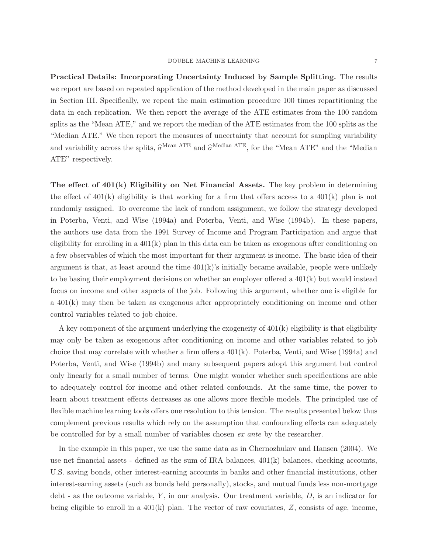#### DOUBLE MACHINE LEARNING  $\hspace{2cm} 7$

Practical Details: Incorporating Uncertainty Induced by Sample Splitting. The results we report are based on repeated application of the method developed in the main paper as discussed in Section III. Specifically, we repeat the main estimation procedure 100 times repartitioning the data in each replication. We then report the average of the ATE estimates from the 100 random splits as the "Mean ATE," and we report the median of the ATE estimates from the 100 splits as the "Median ATE." We then report the measures of uncertainty that account for sampling variability and variability across the splits,  $\hat{\sigma}^{\text{Mean ATE}}$  and  $\hat{\sigma}^{\text{Median ATE}}$ , for the "Mean ATE" and the "Median

ATE" respectively.

The effect of  $401(k)$  Eligibility on Net Financial Assets. The key problem in determining the effect of  $401(k)$  eligibility is that working for a firm that offers access to a  $401(k)$  plan is not randomly assigned. To overcome the lack of random assignment, we follow the strategy developed in Poterba, Venti, and Wise (1994a) and Poterba, Venti, and Wise (1994b). In these papers, the authors use data from the 1991 Survey of Income and Program Participation and argue that eligibility for enrolling in a  $401(k)$  plan in this data can be taken as exogenous after conditioning on a few observables of which the most important for their argument is income. The basic idea of their argument is that, at least around the time  $401(k)$ 's initially became available, people were unlikely to be basing their employment decisions on whether an employer offered a 401(k) but would instead focus on income and other aspects of the job. Following this argument, whether one is eligible for a 401(k) may then be taken as exogenous after appropriately conditioning on income and other control variables related to job choice.

A key component of the argument underlying the exogeneity of 401(k) eligibility is that eligibility may only be taken as exogenous after conditioning on income and other variables related to job choice that may correlate with whether a firm offers a  $401(k)$ . Poterba, Venti, and Wise  $(1994a)$  and Poterba, Venti, and Wise (1994b) and many subsequent papers adopt this argument but control only linearly for a small number of terms. One might wonder whether such specifications are able to adequately control for income and other related confounds. At the same time, the power to learn about treatment effects decreases as one allows more flexible models. The principled use of flexible machine learning tools offers one resolution to this tension. The results presented below thus complement previous results which rely on the assumption that confounding effects can adequately be controlled for by a small number of variables chosen ex ante by the researcher.

In the example in this paper, we use the same data as in Chernozhukov and Hansen (2004). We use net financial assets - defined as the sum of IRA balances, 401(k) balances, checking accounts, U.S. saving bonds, other interest-earning accounts in banks and other financial institutions, other interest-earning assets (such as bonds held personally), stocks, and mutual funds less non-mortgage  $\text{debt}$  - as the outcome variable, Y, in our analysis. Our treatment variable, D, is an indicator for being eligible to enroll in a  $401(k)$  plan. The vector of raw covariates,  $Z$ , consists of age, income,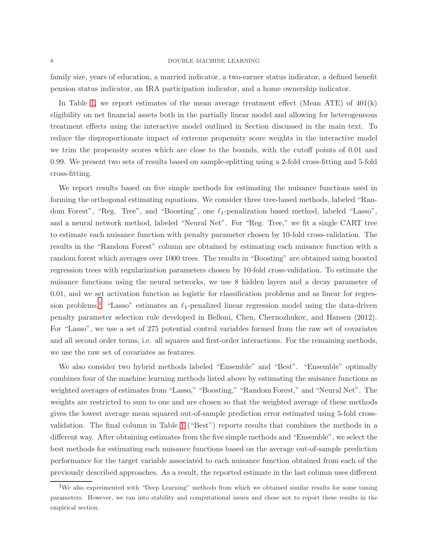family size, years of education, a married indicator, a two-earner status indicator, a defined benefit pension status indicator, an IRA participation indicator, and a home ownership indicator.

In Table [1,](#page-16-0) we report estimates of the mean average treatment effect (Mean ATE) of  $401(k)$ eligibility on net financial assets both in the partially linear model and allowing for heterogeneous treatment effects using the interactive model outlined in Section discussed in the main text. To reduce the disproportionate impact of extreme propensity score weights in the interactive model we trim the propensity scores which are close to the bounds, with the cutoff points of 0.01 and 0.99. We present two sets of results based on sample-splitting using a 2-fold cross-fitting and 5-fold cross-fitting.

We report results based on five simple methods for estimating the nuisance functions used in forming the orthogonal estimating equations. We consider three tree-based methods, labeled "Random Forest", "Reg. Tree", and "Boosting", one  $\ell_1$ -penalization based method, labeled "Lasso", and a neural network method, labeled "Neural Net". For "Reg. Tree," we fit a single CART tree to estimate each nuisance function with penalty parameter chosen by 10-fold cross-validation. The results in the "Random Forest" column are obtained by estimating each nuisance function with a random forest which averages over 1000 trees. The results in "Boosting" are obtained using boosted regression trees with regularization parameters chosen by 10-fold cross-validation. To estimate the nuisance functions using the neural networks, we use 8 hidden layers and a decay parameter of 0.01, and we set activation function as logistic for classification problems and as linear for regres-sion problems.<sup>[1](#page-7-0)</sup> "Lasso" estimates an  $\ell_1$ -penalized linear regression model using the data-driven penalty parameter selection rule developed in Belloni, Chen, Chernozhukov, and Hansen (2012). For "Lasso", we use a set of 275 potential control variables formed from the raw set of covariates and all second order terms, i.e. all squares and first-order interactions. For the remaining methods, we use the raw set of covariates as features.

We also consider two hybrid methods labeled "Ensemble" and "Best". "Ensemble" optimally combines four of the machine learning methods listed above by estimating the nuisance functions as weighted averages of estimates from "Lasso," "Boosting," "Random Forest," and "Neural Net". The weights are restricted to sum to one and are chosen so that the weighted average of these methods gives the lowest average mean squared out-of-sample prediction error estimated using 5-fold crossvalidation. The final column in Table [1](#page-16-0) ("Best") reports results that combines the methods in a different way. After obtaining estimates from the five simple methods and "Ensemble", we select the best methods for estimating each nuisance functions based on the average out-of-sample prediction performance for the target variable associated to each nuisance function obtained from each of the previously described approaches. As a result, the reported estimate in the last column uses different

<span id="page-7-0"></span><sup>&</sup>lt;sup>1</sup>We also experimented with "Deep Learning" methods from which we obtained similar results for some tuning parameters. However, we ran into stability and computational issues and chose not to report these results in the empirical section.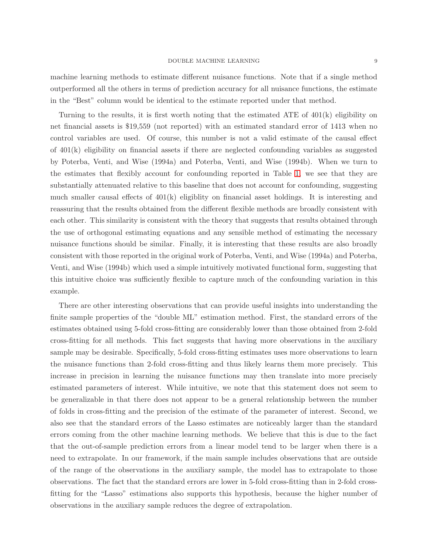#### DOUBLE MACHINE LEARNING  $\hfill 9$

machine learning methods to estimate different nuisance functions. Note that if a single method outperformed all the others in terms of prediction accuracy for all nuisance functions, the estimate in the "Best" column would be identical to the estimate reported under that method.

Turning to the results, it is first worth noting that the estimated ATE of 401(k) eligibility on net financial assets is \$19,559 (not reported) with an estimated standard error of 1413 when no control variables are used. Of course, this number is not a valid estimate of the causal effect of  $401(k)$  eligibility on financial assets if there are neglected confounding variables as suggested by Poterba, Venti, and Wise (1994a) and Poterba, Venti, and Wise (1994b). When we turn to the estimates that flexibly account for confounding reported in Table [1,](#page-16-0) we see that they are substantially attenuated relative to this baseline that does not account for confounding, suggesting much smaller causal effects of  $401(k)$  eligiblity on financial asset holdings. It is interesting and reassuring that the results obtained from the different flexible methods are broadly consistent with each other. This similarity is consistent with the theory that suggests that results obtained through the use of orthogonal estimating equations and any sensible method of estimating the necessary nuisance functions should be similar. Finally, it is interesting that these results are also broadly consistent with those reported in the original work of Poterba, Venti, and Wise (1994a) and Poterba, Venti, and Wise (1994b) which used a simple intuitively motivated functional form, suggesting that this intuitive choice was sufficiently flexible to capture much of the confounding variation in this example.

There are other interesting observations that can provide useful insights into understanding the finite sample properties of the "double ML" estimation method. First, the standard errors of the estimates obtained using 5-fold cross-fitting are considerably lower than those obtained from 2-fold cross-fitting for all methods. This fact suggests that having more observations in the auxiliary sample may be desirable. Specifically, 5-fold cross-fitting estimates uses more observations to learn the nuisance functions than 2-fold cross-fitting and thus likely learns them more precisely. This increase in precision in learning the nuisance functions may then translate into more precisely estimated parameters of interest. While intuitive, we note that this statement does not seem to be generalizable in that there does not appear to be a general relationship between the number of folds in cross-fitting and the precision of the estimate of the parameter of interest. Second, we also see that the standard errors of the Lasso estimates are noticeably larger than the standard errors coming from the other machine learning methods. We believe that this is due to the fact that the out-of-sample prediction errors from a linear model tend to be larger when there is a need to extrapolate. In our framework, if the main sample includes observations that are outside of the range of the observations in the auxiliary sample, the model has to extrapolate to those observations. The fact that the standard errors are lower in 5-fold cross-fitting than in 2-fold crossfitting for the "Lasso" estimations also supports this hypothesis, because the higher number of observations in the auxiliary sample reduces the degree of extrapolation.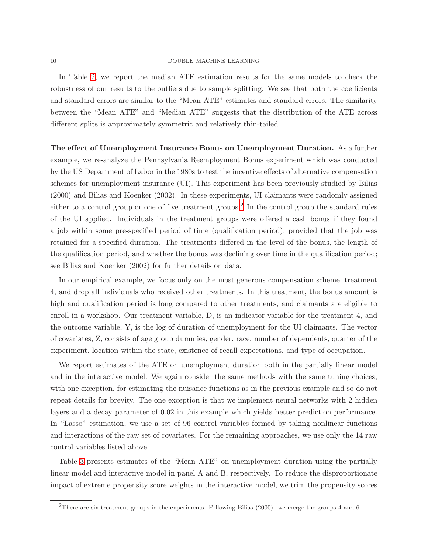In Table [2,](#page-16-1) we report the median ATE estimation results for the same models to check the robustness of our results to the outliers due to sample splitting. We see that both the coefficients and standard errors are similar to the "Mean ATE" estimates and standard errors. The similarity between the "Mean ATE" and "Median ATE" suggests that the distribution of the ATE across different splits is approximately symmetric and relatively thin-tailed.

The effect of Unemployment Insurance Bonus on Unemployment Duration. As a further example, we re-analyze the Pennsylvania Reemployment Bonus experiment which was conducted by the US Department of Labor in the 1980s to test the incentive effects of alternative compensation schemes for unemployment insurance (UI). This experiment has been previously studied by Bilias (2000) and Bilias and Koenker (2002). In these experiments, UI claimants were randomly assigned either to a control group or one of five treatment groups.<sup>[2](#page-9-0)</sup> In the control group the standard rules of the UI applied. Individuals in the treatment groups were offered a cash bonus if they found a job within some pre-specified period of time (qualification period), provided that the job was retained for a specified duration. The treatments differed in the level of the bonus, the length of the qualification period, and whether the bonus was declining over time in the qualification period; see Bilias and Koenker (2002) for further details on data.

In our empirical example, we focus only on the most generous compensation scheme, treatment 4, and drop all individuals who received other treatments. In this treatment, the bonus amount is high and qualification period is long compared to other treatments, and claimants are eligible to enroll in a workshop. Our treatment variable, D, is an indicator variable for the treatment 4, and the outcome variable, Y, is the log of duration of unemployment for the UI claimants. The vector of covariates, Z, consists of age group dummies, gender, race, number of dependents, quarter of the experiment, location within the state, existence of recall expectations, and type of occupation.

We report estimates of the ATE on unemployment duration both in the partially linear model and in the interactive model. We again consider the same methods with the same tuning choices, with one exception, for estimating the nuisance functions as in the previous example and so do not repeat details for brevity. The one exception is that we implement neural networks with 2 hidden layers and a decay parameter of 0.02 in this example which yields better prediction performance. In "Lasso" estimation, we use a set of 96 control variables formed by taking nonlinear functions and interactions of the raw set of covariates. For the remaining approaches, we use only the 14 raw control variables listed above.

Table [3](#page-17-0) presents estimates of the "Mean ATE" on unemployment duration using the partially linear model and interactive model in panel A and B, respectively. To reduce the disproportionate impact of extreme propensity score weights in the interactive model, we trim the propensity scores

<span id="page-9-0"></span><sup>2</sup>There are six treatment groups in the experiments. Following Bilias (2000). we merge the groups 4 and 6.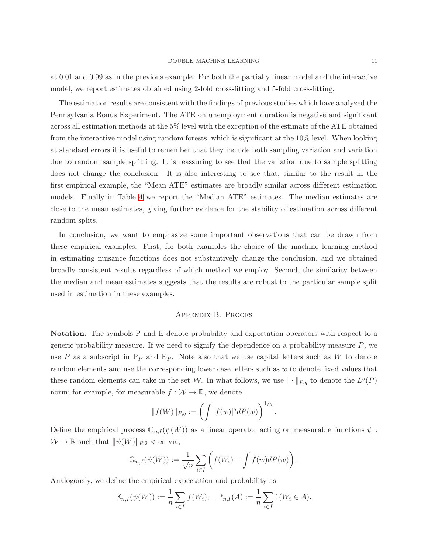at 0.01 and 0.99 as in the previous example. For both the partially linear model and the interactive model, we report estimates obtained using 2-fold cross-fitting and 5-fold cross-fitting.

The estimation results are consistent with the findings of previous studies which have analyzed the Pennsylvania Bonus Experiment. The ATE on unemployment duration is negative and significant across all estimation methods at the 5% level with the exception of the estimate of the ATE obtained from the interactive model using random forests, which is significant at the 10% level. When looking at standard errors it is useful to remember that they include both sampling variation and variation due to random sample splitting. It is reassuring to see that the variation due to sample splitting does not change the conclusion. It is also interesting to see that, similar to the result in the first empirical example, the "Mean ATE" estimates are broadly similar across different estimation models. Finally in Table [4](#page-17-1) we report the "Median ATE" estimates. The median estimates are close to the mean estimates, giving further evidence for the stability of estimation across different random splits.

In conclusion, we want to emphasize some important observations that can be drawn from these empirical examples. First, for both examples the choice of the machine learning method in estimating nuisance functions does not substantively change the conclusion, and we obtained broadly consistent results regardless of which method we employ. Second, the similarity between the median and mean estimates suggests that the results are robust to the particular sample split used in estimation in these examples.

#### Appendix B. Proofs

Notation. The symbols P and E denote probability and expectation operators with respect to a generic probability measure. If we need to signify the dependence on a probability measure  $P$ , we use P as a subscript in  $P_P$  and  $E_P$ . Note also that we use capital letters such as W to denote random elements and use the corresponding lower case letters such as w to denote fixed values that these random elements can take in the set W. In what follows, we use  $\|\cdot\|_{P,q}$  to denote the  $L^q(P)$ norm; for example, for measurable  $f : \mathcal{W} \to \mathbb{R}$ , we denote

$$
||f(W)||_{P,q} := \left(\int |f(w)|^q dP(w)\right)^{1/q}.
$$

Define the empirical process  $\mathbb{G}_{n,I}(\psi(W))$  as a linear operator acting on measurable functions  $\psi$ :  $W \to \mathbb{R}$  such that  $\|\psi(W)\|_{P,2} < \infty$  via,

$$
\mathbb{G}_{n,I}(\psi(W)) := \frac{1}{\sqrt{n}} \sum_{i \in I} \left( f(W_i) - \int f(w) dP(w) \right).
$$

Analogously, we define the empirical expectation and probability as:

$$
\mathbb{E}_{n,I}(\psi(W)) := \frac{1}{n} \sum_{i \in I} f(W_i); \quad \mathbb{P}_{n,I}(A) := \frac{1}{n} \sum_{i \in I} 1(W_i \in A).
$$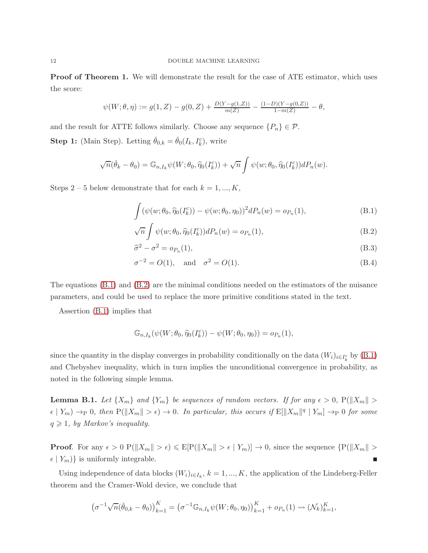**Proof of Theorem 1.** We will demonstrate the result for the case of ATE estimator, which uses the score:

$$
\psi(W; \theta, \eta) := g(1, Z) - g(0, Z) + \frac{D(Y - g(1, Z))}{m(Z)} - \frac{(1 - D)(Y - g(0, Z))}{1 - m(Z)} - \theta,
$$

and the result for ATTE follows similarly. Choose any sequence  $\{P_n\} \in \mathcal{P}$ . **Step 1:** (Main Step). Letting  $\check{\theta}_{0,k} = \check{\theta}_0(I_k, I_k^c)$ , write

$$
\sqrt{n}(\check{\theta}_k - \theta_0) = \mathbb{G}_{n,I_k} \psi(W; \theta_0, \widehat{\eta}_0(I_k^c)) + \sqrt{n} \int \psi(w; \theta_0, \widehat{\eta}_0(I_k^c)) dP_n(w).
$$

Steps 2 – 5 below demonstrate that for each  $k = 1, ..., K$ ,

<span id="page-11-0"></span>
$$
\int (\psi(w; \theta_0, \hat{\eta}_0(I_k^c)) - \psi(w; \theta_0, \eta_0))^2 dP_n(w) = o_{P_n}(1),
$$
\n(B.1)

$$
\sqrt{n}\int \psi(w;\theta_0,\widehat{\eta}_0(I_k^c))dP_n(w) = o_{P_n}(1),\tag{B.2}
$$

$$
\widehat{\sigma}^2 - \sigma^2 = o_{P_n}(1),\tag{B.3}
$$

$$
\sigma^{-2} = O(1)
$$
, and  $\sigma^2 = O(1)$ . (B.4)

The equations [\(B.1\)](#page-11-0) and [\(B.2\)](#page-11-0) are the minimal conditions needed on the estimators of the nuisance parameters, and could be used to replace the more primitive conditions stated in the text.

Assertion [\(B.1\)](#page-11-0) implies that

$$
\mathbb{G}_{n,I_k}(\psi(W;\theta_0,\widehat{\eta}_0(I_k^c))-\psi(W;\theta_0,\eta_0))=o_{P_n}(1),
$$

since the quantity in the display converges in probability conditionally on the data  $(W_i)_{i \in I_k^c}$  by  $(B.1)$ and Chebyshev inequality, which in turn implies the unconditional convergence in probability, as noted in the following simple lemma.

**Lemma B.1.** Let  $\{X_m\}$  and  $\{Y_m\}$  be sequences of random vectors. If for any  $\epsilon > 0$ ,  $P(\|X_m\| >$  $\epsilon | Y_m | \to_P 0$ , then  $P(||X_m|| > \epsilon) \to 0$ . In particular, this occurs if  $E[||X_m||^q | Y_m] \to_P 0$  for some  $q \geqslant 1$ , by Markov's inequality.

**Proof.** For any  $\epsilon > 0$   $P(||X_m|| > \epsilon) \leq E[P(||X_m|| > \epsilon | Y_m)] \to 0$ , since the sequence  $\{P(||X_m|| > \epsilon | Y_m) \leq \epsilon \leq E[P(||X_m|| > \epsilon | Y_m]] \to 0\}$  $\epsilon | Y_m \rangle$  is uniformly integrable.

Using independence of data blocks  $(W_i)_{i \in I_k}$ ,  $k = 1, ..., K$ , the application of the Lindeberg-Feller theorem and the Cramer-Wold device, we conclude that

$$
(\sigma^{-1}\sqrt{n}(\check{\theta}_{0,k}-\theta_0))_{k=1}^K = (\sigma^{-1}\mathbb{G}_{n,I_k}\psi(W;\theta_0,\eta_0))_{k=1}^K + o_{P_n}(1) \rightsquigarrow (\mathcal{N}_k)_{k=1}^K,
$$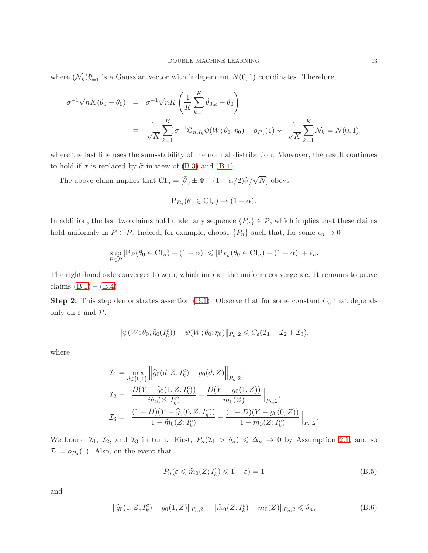where  $(\mathcal{N}_k)_{k=1}^K$  is a Gaussian vector with independent  $N(0, 1)$  coordinates. Therefore,

$$
\sigma^{-1}\sqrt{nK}(\tilde{\theta}_0 - \theta_0) = \sigma^{-1}\sqrt{nK} \left( \frac{1}{K} \sum_{k=1}^K \check{\theta}_{0,k} - \theta_0 \right)
$$
  
= 
$$
\frac{1}{\sqrt{K}} \sum_{k=1}^K \sigma^{-1} \mathbb{G}_{n,I_k} \psi(W; \theta_0, \eta_0) + o_{P_n}(1) \rightsquigarrow \frac{1}{\sqrt{K}} \sum_{k=1}^K \mathcal{N}_k = N(0, 1),
$$

where the last line uses the sum-stability of the normal distribution. Moreover, the result continues to hold if  $\sigma$  is replaced by  $\hat{\sigma}$  in view of [\(B.3\)](#page-11-0) and [\(B.4\)](#page-11-0).

The above claim implies that  $CI_n = [\tilde{\theta}_0 \pm \Phi^{-1}(1 - \alpha/2)\hat{\sigma}/\sqrt{N}]$  obeys

$$
P_{P_n}(\theta_0 \in CI_n) \to (1 - \alpha).
$$

In addition, the last two claims hold under any sequence  $\{P_n\} \in \mathcal{P}$ , which implies that these claims hold uniformly in  $P \in \mathcal{P}$ . Indeed, for example, choose  $\{P_n\}$  such that, for some  $\epsilon_n \to 0$ 

$$
\sup_{P \in \mathcal{P}} |P_P(\theta_0 \in \mathrm{CI}_n) - (1 - \alpha)| \leqslant |P_{P_n}(\theta_0 \in \mathrm{CI}_n) - (1 - \alpha)| + \epsilon_n.
$$

The right-hand side converges to zero, which implies the uniform convergence. It remains to prove claims  $(B.1) - (B.4)$  $(B.1) - (B.4)$ .

**Step 2:** This step demonstrates assertion [\(B.1\)](#page-11-0). Observe that for some constant  $C_{\varepsilon}$  that depends only on  $\varepsilon$  and  $\mathcal{P}$ ,

$$
\|\psi(W;\theta_0,\widehat{\eta}_0(I_k^c)) - \psi(W;\theta_0;\eta_0)\|_{P_n,2} \leqslant C_{\varepsilon}(\mathcal{I}_1 + \mathcal{I}_2 + \mathcal{I}_3),
$$

where

$$
\mathcal{I}_1 = \max_{d \in \{0,1\}} \left\| \widehat{g}_0(d, Z; I_k^c) - g_0(d, Z) \right\|_{P_{n,2}},
$$
\n
$$
\mathcal{I}_2 = \left\| \frac{D(Y - \widehat{g}_0(1, Z; I_k^c))}{\widehat{m}_0(Z; I_k^c)} - \frac{D(Y - g_0(1, Z))}{m_0(Z)} \right\|_{P_{n,2}},
$$
\n
$$
\mathcal{I}_3 = \left\| \frac{(1 - D)(Y - \widehat{g}_0(0, Z; I_k^c))}{1 - \widehat{m}_0(Z; I_k^c)} - \frac{(1 - D)(Y - g_0(0, Z))}{1 - m_0(Z; I_k^c)} \right\|_{P_{n,2}}.
$$

We bound  $\mathcal{I}_1$ ,  $\mathcal{I}_2$ , and  $\mathcal{I}_3$  in turn. First,  $P_n(\mathcal{I}_1 > \delta_n) \leq \Delta_n \to 0$  by Assumption [2.1,](#page-3-0) and so  $\mathcal{I}_1 = o_{P_n}(1)$ . Also, on the event that

<span id="page-12-0"></span>
$$
P_n(\varepsilon \leq \widehat{m}_0(Z; I_k^c) \leq 1 - \varepsilon) = 1
$$
\n(B.5)

and

<span id="page-12-1"></span>
$$
\|\widehat{g}_0(1, Z; I_k^c) - g_0(1, Z)\|_{P_n,2} + \|\widehat{m}_0(Z; I_k^c) - m_0(Z)\|_{P_n,2} \leq \delta_n,
$$
\n(B.6)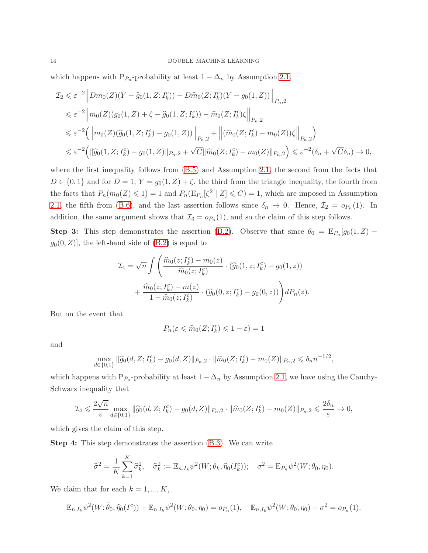which happens with  $P_{P_n}$ -probability at least  $1 - \Delta_n$  by Assumption [2.1,](#page-3-0)

$$
\mathcal{I}_2 \leq \varepsilon^{-2} \Big\| Dm_0(Z)(Y - \widehat{g}_0(1, Z; I_k^c)) - D\widehat{m}_0(Z; I_k^c)(Y - g_0(1, Z)) \Big\|_{P_{n,2}} \n\leq \varepsilon^{-2} \Big\| m_0(Z)(g_0(1, Z) + \zeta - \widehat{g}_0(1, Z; I_k^c)) - \widehat{m}_0(Z; I_k^c)\zeta \Big\|_{P_{n,2}} \n\leq \varepsilon^{-2} \Big( \Big\| m_0(Z)(\widehat{g}_0(1, Z; I_k^c) - g_0(1, Z)) \Big\|_{P_{n,2}} + \Big\| (\widehat{m}_0(Z; I_k^c) - m_0(Z))\zeta \Big\|_{P_{n,2}} \Big) \n\leq \varepsilon^{-2} \Big( \|\widehat{g}_0(1, Z; I_k^c) - g_0(1, Z)\|_{P_{n,2}} + \sqrt{C} \|\widehat{m}_0(Z; I_k^c) - m_0(Z)\|_{P_{n,2}} \Big) \leq \varepsilon^{-2} (\delta_n + \sqrt{C}\delta_n) \to 0,
$$

where the first inequality follows from [\(B.5\)](#page-12-0) and Assumption [2.1,](#page-3-0) the second from the facts that  $D \in \{0,1\}$  and for  $D=1$ ,  $Y = g_0(1, Z) + \zeta$ , the third from the triangle inequality, the fourth from the facts that  $P_n(m_0(Z) \leq 1) = 1$  and  $P_n(E_{P_n}[\zeta^2 | Z] \leq C) = 1$ , which are imposed in Assumption [2.1,](#page-3-0) the fifth from [\(B.6\)](#page-12-1), and the last assertion follows since  $\delta_n \to 0$ . Hence,  $\mathcal{I}_2 = o_{P_n}(1)$ . In addition, the same argument shows that  $\mathcal{I}_3 = o_{P_n}(1)$ , and so the claim of this step follows.

**Step 3:** This step demonstrates the assertion [\(B.2\)](#page-11-0). Observe that since  $\theta_0 = \mathbb{E}_{P_n}[g_0(1, Z)$  $g_0(0, Z)$ , the left-hand side of  $(B.2)$  is equal to

$$
\mathcal{I}_4 = \sqrt{n} \int \left( \frac{\widehat{m}_0(z; I_k^c) - m_0(z)}{\widehat{m}_0(z; I_k^c)} \cdot (\widehat{g}_0(1, z; I_k^c) - g_0(1, z)) + \frac{\widehat{m}_0(z; I_k^c) - m(z)}{1 - \widehat{m}_0(z; I_k^c)} \cdot (\widehat{g}_0(0, z; I_k^c) - g_0(0, z)) \right) dP_n(z).
$$

But on the event that

$$
P_n(\varepsilon \leq \widehat{m}_0(Z; I_k^c) \leq 1 - \varepsilon) = 1
$$

and

$$
\max_{d \in \{0,1\}} \|\widehat{g}_0(d,Z;I_k^c) - g_0(d,Z)\|_{P_n,2} \cdot \|\widehat{m}_0(Z;I_k^c) - m_0(Z)\|_{P_n,2} \leq \delta_n n^{-1/2},
$$

which happens with  $P_{P_n}$ -probability at least  $1-\Delta_n$  by Assumption [2.1,](#page-3-0) we have using the Cauchy-Schwarz inequality that

$$
\mathcal{I}_4 \leqslant \frac{2\sqrt{n}}{\varepsilon} \max_{d \in \{0,1\}} \|\widehat{g}_0(d,Z;I_k^c) - g_0(d,Z)\|_{P_n,2} \cdot \|\widehat{m}_0(Z;I_k^c) - m_0(Z)\|_{P_n,2} \leqslant \frac{2\delta_n}{\varepsilon} \to 0,
$$

which gives the claim of this step.

Step 4: This step demonstrates the assertion [\(B.3\)](#page-11-0). We can write

$$
\widehat{\sigma}^2 = \frac{1}{K} \sum_{k=1}^K \widehat{\sigma}_k^2, \quad \widehat{\sigma}_k^2 := \mathbb{E}_{n, I_k} \psi^2(W; \widetilde{\theta}_k, \widehat{\eta}_0(I_k^c)); \quad \sigma^2 = \mathbb{E}_{P_n} \psi^2(W; \theta_0, \eta_0).
$$

We claim that for each  $k = 1, ..., K$ ,

$$
\mathbb{E}_{n,I_k}\psi^2(W;\tilde{\theta}_0,\widehat{\eta}_0(I^c)) - \mathbb{E}_{n,I_k}\psi^2(W;\theta_0,\eta_0) = o_{P_n}(1), \quad \mathbb{E}_{n,I_k}\psi^2(W;\theta_0,\eta_0) - \sigma^2 = o_{P_n}(1).
$$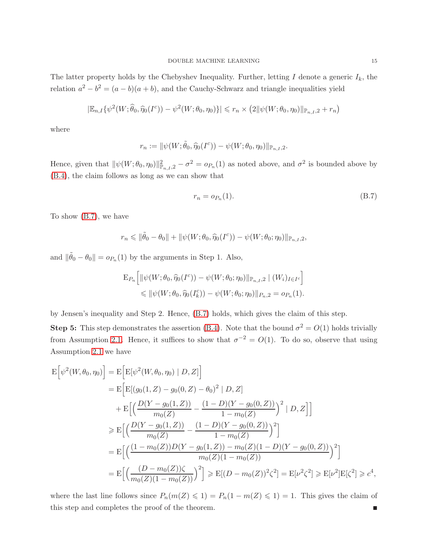The latter property holds by the Chebyshev Inequality. Further, letting I denote a generic  $I_k$ , the relation  $a^2 - b^2 = (a - b)(a + b)$ , and the Cauchy-Schwarz and triangle inequalities yield

$$
|\mathbb{E}_{n,I}\{\psi^2(W;\hat{\theta}_0,\widehat{\eta}_0(I^c))-\psi^2(W;\theta_0,\eta_0)\}|\leq r_n\times(2\|\psi(W;\theta_0,\eta_0)\|_{\mathbb{P}_{n,I},2}+r_n)
$$

where

$$
r_n := \|\psi(W; \tilde{\theta}_0, \hat{\eta}_0(I^c)) - \psi(W; \theta_0, \eta_0)\|_{\mathbb{P}_{n,I},2}.
$$

Hence, given that  $\|\psi(W; \theta_0, \eta_0)\|_{\mathbb{P}_{n,I},2}^2 - \sigma^2 = o_{P_n}(1)$  as noted above, and  $\sigma^2$  is bounded above by [\(B.4\)](#page-11-0), the claim follows as long as we can show that

<span id="page-14-0"></span>
$$
r_n = o_{P_n}(1). \tag{B.7}
$$

To show [\(B.7\)](#page-14-0), we have

$$
r_n \leq \|\tilde{\theta}_0 - \theta_0\| + \|\psi(W; \theta_0, \hat{\eta}_0(I^c)) - \psi(W; \theta_0; \eta_0)\|_{\mathbb{P}_{n,I},2},
$$

and  $\|\tilde{\theta}_0 - \theta_0\| = o_{P_n}(1)$  by the arguments in Step 1. Also,

$$
E_{P_n}\left[\|\psi(W;\theta_0,\widehat{\eta}_0(I^c)) - \psi(W;\theta_0;\eta_0)\|_{\mathbb{P}_{n,I,2}} \mid (W_i)_{I \in I^c}\right] \leq \|\psi(W;\theta_0,\widehat{\eta}_0(I^c_k)) - \psi(W;\theta_0;\eta_0)\|_{P_n,2} = o_{P_n}(1).
$$

by Jensen's inequality and Step 2. Hence, [\(B.7\)](#page-14-0) holds, which gives the claim of this step.

**Step 5:** This step demonstrates the assertion [\(B.4\)](#page-11-0). Note that the bound  $\sigma^2 = O(1)$  holds trivially from Assumption [2.1.](#page-3-0) Hence, it suffices to show that  $\sigma^{-2} = O(1)$ . To do so, observe that using Assumption [2.1](#page-3-0) we have

$$
\begin{split} \mathcal{E}\Big[\psi^2(W,\theta_0,\eta_0)\Big] &= \mathcal{E}\Big[\mathcal{E}[\psi^2(W,\theta_0,\eta_0) \mid D,Z]\Big] \\ &= \mathcal{E}\Big[\mathcal{E}[(g_0(1,Z)-g_0(0,Z)-\theta_0)^2 \mid D,Z]\Big] \\ &+ \mathcal{E}\Big[\Big(\frac{D(Y-g_0(1,Z))}{m_0(Z)}-\frac{(1-D)(Y-g_0(0,Z))}{1-m_0(Z)}\Big)^2 \mid D,Z\Big]\Big] \\ &\geqslant \mathcal{E}\Big[\Big(\frac{D(Y-g_0(1,Z))}{m_0(Z)}-\frac{(1-D)(Y-g_0(0,Z))}{1-m_0(Z)}\Big)^2\Big] \\ &= \mathcal{E}\Big[\Big(\frac{(1-m_0(Z))D(Y-g_0(1,Z))-m_0(Z)(1-D)(Y-g_0(0,Z))}{m_0(Z)(1-m_0(Z))}\Big)^2\Big] \\ &= \mathcal{E}\Big[\Big(\frac{(D-m_0(Z))\zeta}{m_0(Z)(1-m_0(Z))}\Big)^2\Big] \geqslant \mathcal{E}[(D-m_0(Z))^2\zeta^2] = \mathcal{E}[\nu^2\zeta^2] \geqslant \mathcal{E}[\nu^2]\mathcal{E}[\zeta^2] \geqslant c^4, \end{split}
$$

where the last line follows since  $P_n(m(Z) \leq 1) = P_n(1 - m(Z) \leq 1) = 1$ . This gives the claim of this step and completes the proof of the theorem.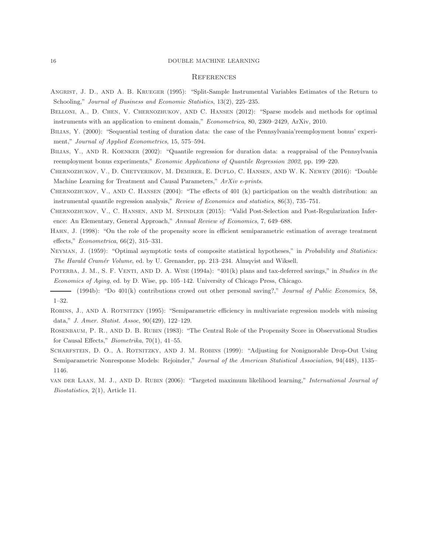#### **REFERENCES**

- Angrist, J. D., and A. B. Krueger (1995): "Split-Sample Instrumental Variables Estimates of the Return to Schooling," *Journal of Business and Economic Statistics*, 13(2), 225–235.
- BELLONI, A., D. CHEN, V. CHERNOZHUKOV, AND C. HANSEN (2012): "Sparse models and methods for optimal instruments with an application to eminent domain," *Econometrica*, 80, 2369–2429, ArXiv, 2010.
- BILIAS, Y. (2000): "Sequential testing of duration data: the case of the Pennsylvania'reemployment bonus' experiment," *Journal of Applied Econometrics*, 15, 575–594.
- Bilias, Y., and R. Koenker (2002): "Quantile regression for duration data: a reappraisal of the Pennsylvania reemployment bonus experiments," *Economic Applications of Quantile Regression 2002*, pp. 199–220.
- Chernozhukov, V., D. Chetverikov, M. Demirer, E. Duflo, C. Hansen, and W. K. Newey (2016): "Double Machine Learning for Treatment and Causal Parameters," *ArXiv e-prints*.
- Chernozhukov, V., and C. Hansen (2004): "The effects of 401 (k) participation on the wealth distribution: an instrumental quantile regression analysis," *Review of Economics and statistics*, 86(3), 735–751.
- Chernozhukov, V., C. Hansen, and M. Spindler (2015): "Valid Post-Selection and Post-Regularization Inference: An Elementary, General Approach," *Annual Review of Economics*, 7, 649–688.
- Hahn, J. (1998): "On the role of the propensity score in efficient semiparametric estimation of average treatment effects," *Econometrica*, 66(2), 315–331.
- Neyman, J. (1959): "Optimal asymptotic tests of composite statistical hypotheses," in *Probability and Statistics: The Harald Cram´er Volume*, ed. by U. Grenander, pp. 213–234. Almqvist and Wiksell.
- Poterba, J. M., S. F. Venti, and D. A. Wise (1994a): "401(k) plans and tax-deferred savings," in *Studies in the Economics of Aging*, ed. by D. Wise, pp. 105–142. University of Chicago Press, Chicago.
- (1994b): "Do 401(k) contributions crowd out other personal saving?," *Journal of Public Economics*, 58, 1–32.
- Robins, J., and A. Rotnitzky (1995): "Semiparametric efficiency in multivariate regression models with missing data," *J. Amer. Statist. Assoc*, 90(429), 122–129.
- Rosenbaum, P. R., and D. B. Rubin (1983): "The Central Role of the Propensity Score in Observational Studies for Causal Effects," *Biometrika*, 70(1), 41–55.
- SCHARFSTEIN, D. O., A. ROTNITZKY, AND J. M. ROBINS (1999): "Adjusting for Nonignorable Drop-Out Using Semiparametric Nonresponse Models: Rejoinder," *Journal of the American Statistical Association*, 94(448), 1135– 1146.
- van der Laan, M. J., and D. Rubin (2006): "Targeted maximum likelihood learning," *International Journal of Biostatistics*, 2(1), Article 11.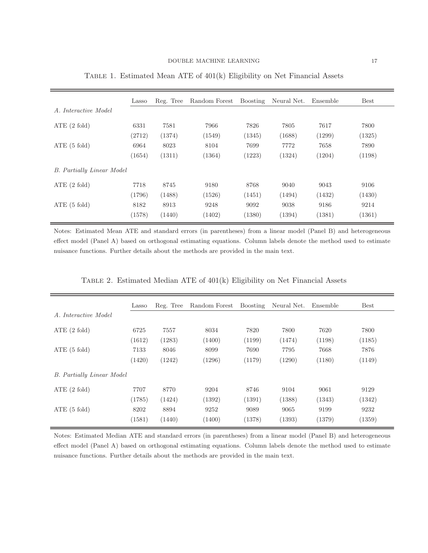|                           | Lasso  | Reg. Tree | Random Forest | Boosting | Neural Net. | Ensemble | <b>Best</b> |
|---------------------------|--------|-----------|---------------|----------|-------------|----------|-------------|
| A. Interactive Model      |        |           |               |          |             |          |             |
| ATE $(2 \text{ fold})$    | 6331   | 7581      | 7966          | 7826     | 7805        | 7617     | 7800        |
|                           | (2712) | (1374)    | (1549)        | (1345)   | (1688)      | (1299)   | (1325)      |
| ATE $(5 \text{ fold})$    | 6964   | 8023      | 8104          | 7699     | 7772        | 7658     | 7890        |
|                           | (1654) | (1311)    | (1364)        | (1223)   | (1324)      | (1204)   | (1198)      |
| B. Partially Linear Model |        |           |               |          |             |          |             |
| ATE $(2 \text{ fold})$    | 7718   | 8745      | 9180          | 8768     | 9040        | 9043     | 9106        |
|                           | (1796) | (1488)    | (1526)        | (1451)   | (1494)      | (1432)   | (1430)      |
| ATE $(5 \text{ fold})$    | 8182   | 8913      | 9248          | 9092     | 9038        | 9186     | 9214        |
|                           | (1578) | (1440)    | (1402)        | (1380)   | (1394)      | (1381)   | (1361)      |

<span id="page-16-0"></span>Table 1. Estimated Mean ATE of 401(k) Eligibility on Net Financial Assets

Notes: Estimated Mean ATE and standard errors (in parentheses) from a linear model (Panel B) and heterogeneous effect model (Panel A) based on orthogonal estimating equations. Column labels denote the method used to estimate nuisance functions. Further details about the methods are provided in the main text.

<span id="page-16-1"></span>

|  | TABLE 2. Estimated Median ATE of 401(k) Eligibility on Net Financial Assets |  |
|--|-----------------------------------------------------------------------------|--|
|--|-----------------------------------------------------------------------------|--|

|                           | Lasso  | Reg. Tree | Random Forest | Boosting | Neural Net. | Ensemble | Best   |
|---------------------------|--------|-----------|---------------|----------|-------------|----------|--------|
| A. Interactive Model      |        |           |               |          |             |          |        |
| ATE $(2 \text{ fold})$    | 6725   | 7557      | 8034          | 7820     | 7800        | 7620     | 7800   |
|                           | (1612) | (1283)    | (1400)        | (1199)   | (1474)      | (1198)   | (1185) |
| ATE $(5 \text{ fold})$    | 7133   | 8046      | 8099          | 7690     | 7795        | 7668     | 7876   |
|                           | (1420) | (1242)    | (1296)        | (1179)   | (1290)      | (1180)   | (1149) |
| B. Partially Linear Model |        |           |               |          |             |          |        |
| ATE $(2 \text{ fold})$    | 7707   | 8770      | 9204          | 8746     | 9104        | 9061     | 9129   |
|                           | (1785) | (1424)    | (1392)        | (1391)   | (1388)      | (1343)   | (1342) |
| ATE $(5 \text{ fold})$    | 8202   | 8894      | 9252          | 9089     | 9065        | 9199     | 9232   |
|                           | (1581) | (1440)    | (1400)        | (1378)   | (1393)      | (1379)   | (1359) |

Notes: Estimated Median ATE and standard errors (in parentheses) from a linear model (Panel B) and heterogeneous effect model (Panel A) based on orthogonal estimating equations. Column labels denote the method used to estimate nuisance functions. Further details about the methods are provided in the main text.